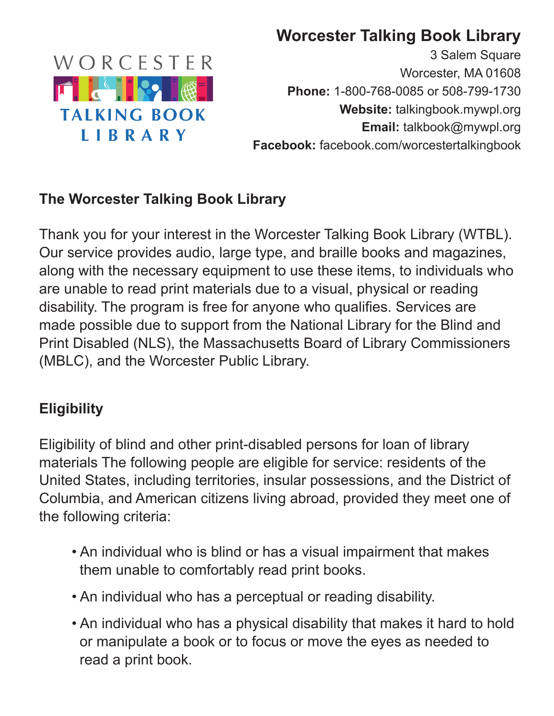

# **Worcester Talking Book Library**

3 Salem Square Worcester, MA 01608 **Phone:** 1-800-768-0085 or 508-799-1730 **Website:** talkingbook.mywpl.org **Email:** talkbook@mywpl.org **Facebook:** facebook.com/worcestertalkingbook

### **The Worcester Talking Book Library**

Thank you for your interest in the Worcester Talking Book Library (WTBL). Our service provides audio, large type, and braille books and magazines, along with the necessary equipment to use these items, to individuals who are unable to read print materials due to a visual, physical or reading disability. The program is free for anyone who qualifies. Services are made possible due to support from the National Library for the Blind and Print Disabled (NLS), the Massachusetts Board of Library Commissioners (MBLC), and the Worcester Public Library.

### **Eligibility**

Eligibility of blind and other print-disabled persons for loan of library materials The following people are eligible for service: residents of the United States, including territories, insular possessions, and the District of Columbia, and American citizens living abroad, provided they meet one of the following criteria:

- An individual who is blind or has a visual impairment that makes them unable to comfortably read print books.
- An individual who has a perceptual or reading disability.
- An individual who has a physical disability that makes it hard to hold or manipulate a book or to focus or move the eyes as needed to read a print book.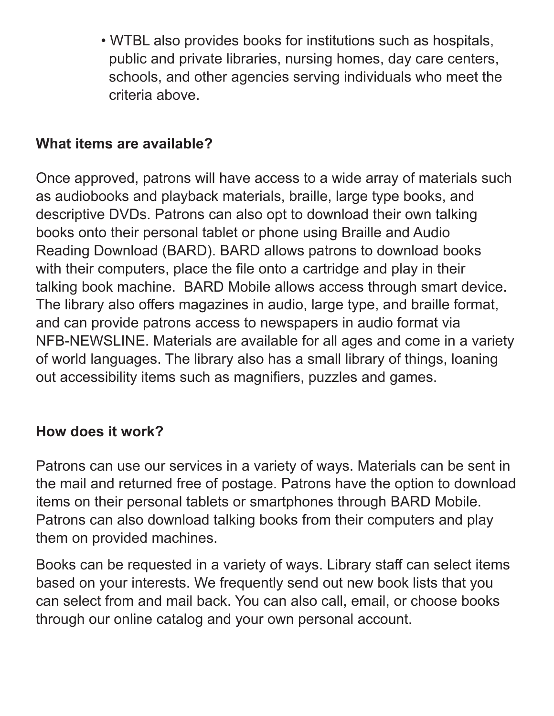• WTBL also provides books for institutions such as hospitals, public and private libraries, nursing homes, day care centers, schools, and other agencies serving individuals who meet the criteria above.

### **What items are available?**

Once approved, patrons will have access to a wide array of materials such as audiobooks and playback materials, braille, large type books, and descriptive DVDs. Patrons can also opt to download their own talking books onto their personal tablet or phone using Braille and Audio Reading Download (BARD). BARD allows patrons to download books with their computers, place the file onto a cartridge and play in their talking book machine. BARD Mobile allows access through smart device. The library also offers magazines in audio, large type, and braille format, and can provide patrons access to newspapers in audio format via NFB-NEWSLINE. Materials are available for all ages and come in a variety of world languages. The library also has a small library of things, loaning out accessibility items such as magnifiers, puzzles and games.

### **How does it work?**

Patrons can use our services in a variety of ways. Materials can be sent in the mail and returned free of postage. Patrons have the option to download items on their personal tablets or smartphones through BARD Mobile. Patrons can also download talking books from their computers and play them on provided machines.

Books can be requested in a variety of ways. Library staff can select items based on your interests. We frequently send out new book lists that you can select from and mail back. You can also call, email, or choose books through our online catalog and your own personal account.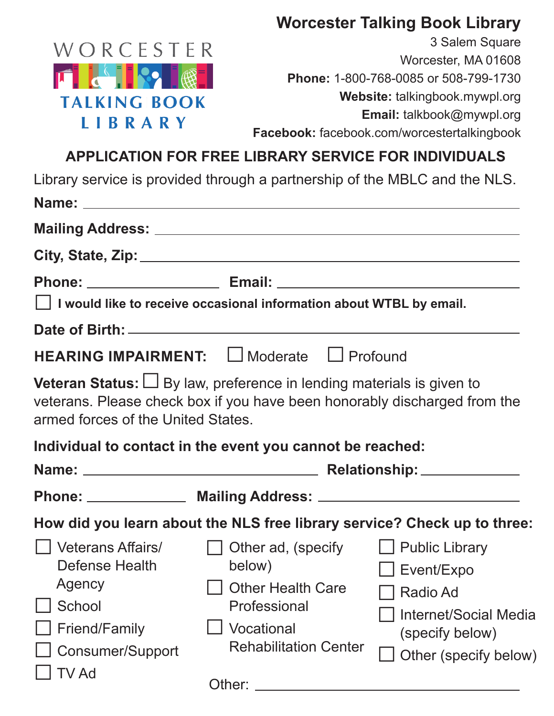### **Worcester Talking Book Library**



3 Salem Square Worcester, MA 01608 **Phone:** 1-800-768-0085 or 508-799-1730 **Website:** talkingbook.mywpl.org **Email:** talkbook@mywpl.org **Facebook:** facebook.com/worcestertalkingbook

# **APPLICATION FOR FREE LIBRARY SERVICE FOR INDIVIDUALS**

Library service is provided through a partnership of the MBLC and the NLS.

|                                                                                                       | $\Box$ I would like to receive occasional information about WTBL by email.                                                                                                                                                                                                         |                                                                                                    |
|-------------------------------------------------------------------------------------------------------|------------------------------------------------------------------------------------------------------------------------------------------------------------------------------------------------------------------------------------------------------------------------------------|----------------------------------------------------------------------------------------------------|
|                                                                                                       |                                                                                                                                                                                                                                                                                    |                                                                                                    |
|                                                                                                       | <b>HEARING IMPAIRMENT:</b> □ Moderate □ Profound                                                                                                                                                                                                                                   |                                                                                                    |
| armed forces of the United States.                                                                    | Veteran Status: $\bigsqcup$ By law, preference in lending materials is given to<br>veterans. Please check box if you have been honorably discharged from the                                                                                                                       |                                                                                                    |
|                                                                                                       | Individual to contact in the event you cannot be reached:                                                                                                                                                                                                                          |                                                                                                    |
|                                                                                                       |                                                                                                                                                                                                                                                                                    |                                                                                                    |
|                                                                                                       |                                                                                                                                                                                                                                                                                    |                                                                                                    |
|                                                                                                       | How did you learn about the NLS free library service? Check up to three:                                                                                                                                                                                                           |                                                                                                    |
| Veterans Affairs/<br>Defense Health<br>Agency<br>School<br>Friend/Family<br>Consumer/Support<br>TV Ad | $\Box$ Other ad, (specify $\Box$ Public Library<br>below)<br>    Other Health Care<br>Professional<br>Vocational<br><b>Rehabilitation Center</b><br>Other:<br><u> 1989 - Johann Barbara, martin amerikan basal dan berasal dan berasal dalam basal dan berasal dan berasal dan</u> | $\Box$ Event/Expo<br>Radio Ad<br>Internet/Social Media<br>(specify below)<br>Other (specify below) |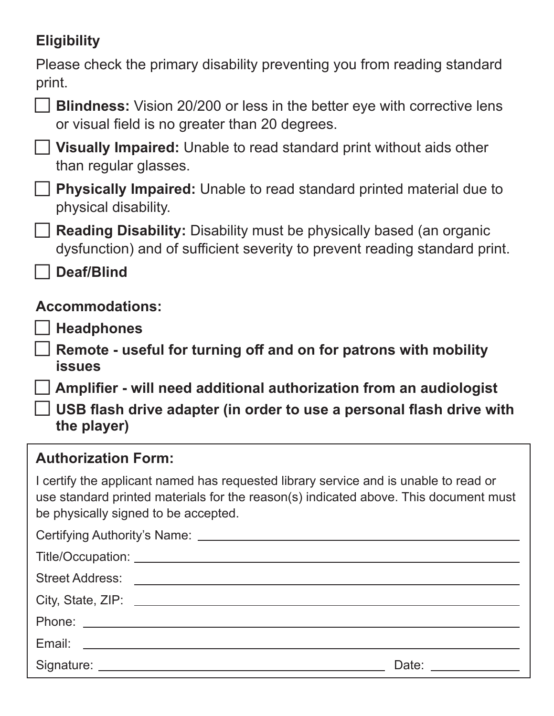# **Eligibility**

Please check the primary disability preventing you from reading standard print.

| <b>Blind</b> |
|--------------|
|              |

| <b>Blindness:</b> Vision 20/200 or less in the better eye with corrective lens |
|--------------------------------------------------------------------------------|
| or visual field is no greater than 20 degrees.                                 |



 **Visually Impaired:** Unable to read standard print without aids other **□** than regular glasses.

□ Physically Impaired: Unable to read standard printed material due to physical disability.

□<br> **□Reading Disability:** Disability must be physically based (an organic starting) and the facetion of the starting dysfunction) and of sufficient severity to prevent reading standard print.

 **Deaf/Blind □**

### **Accommodations:**

□ Headphones

 **Remote - useful for turning off and on for patrons with mobility issues □**

□ Amplifier - will need additional authorization from an audiologist

□ <del>USB</del> flash drive adapter (in order to use a personal flash drive with <br> **□** USB flash drive adapter (in order to use a personal flash drive with  **the player)**

### **Authorization Form:**

I certify the applicant named has requested library service and is unable to read or use standard printed materials for the reason(s) indicated above. This document must be physically signed to be accepted.

| Date: ________________ |
|------------------------|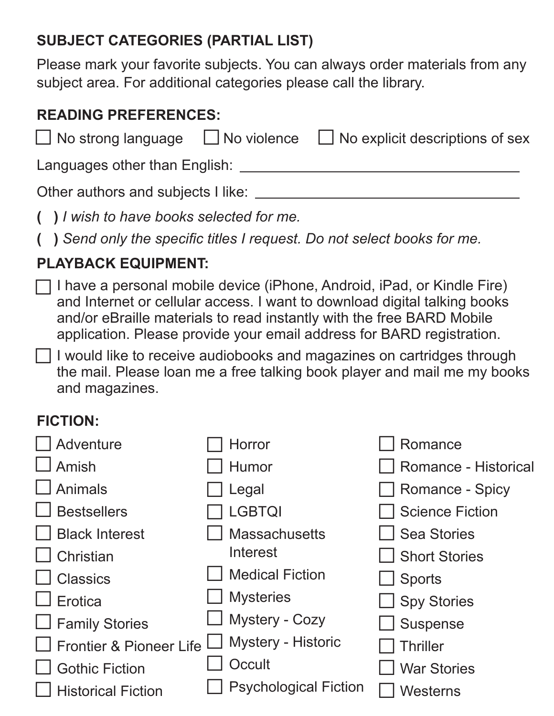# **SUBJECT CATEGORIES (PARTIAL LIST)**

Please mark your favorite subjects. You can always order materials from any subject area. For additional categories please call the library.

### **READING PREFERENCES:**

|                                    |  | $\Box$ No strong language $\Box$ No violence $\Box$ No explicit descriptions of sex |  |
|------------------------------------|--|-------------------------------------------------------------------------------------|--|
| Languages other than English:      |  |                                                                                     |  |
| Other authors and subjects I like: |  |                                                                                     |  |
|                                    |  |                                                                                     |  |

- **( )** *I wish to have books selected for me.*
- **( )** *Send only the specific titles I request. Do not select books for me.*

# **PLAYBACK EQUIPMENT:**

 $\Box$  I have a personal mobile device (iPhone, Android, iPad, or Kindle Fire) and Internet or cellular access. I want to download digital talking books and/or eBraille materials to read instantly with the free BARD Mobile application. Please provide your email address for BARD registration. **□**

I would like to receive audiobooks and magazines on cartridges through the mail. Please loan me a free talking book player and mail me my books and magazines. **□**

# **FICTION:**

| Adventure                          | Horror                       | Romance                     |
|------------------------------------|------------------------------|-----------------------------|
| Amish                              | Humor                        | <b>Romance - Historical</b> |
| Animals                            | Legal                        | <b>Romance - Spicy</b>      |
| <b>Bestsellers</b>                 | <b>LGBTQI</b>                | <b>Science Fiction</b>      |
| <b>Black Interest</b>              | <b>Massachusetts</b>         | <b>Sea Stories</b>          |
| Christian                          | Interest                     | <b>Short Stories</b>        |
| <b>Classics</b>                    | <b>Medical Fiction</b>       | <b>Sports</b>               |
| Erotica                            | <b>Mysteries</b>             | Spy Stories                 |
| <b>Family Stories</b>              | Mystery - Cozy               | Suspense                    |
| <b>Frontier &amp; Pioneer Life</b> | Mystery - Historic           | <b>Thriller</b>             |
| <b>Gothic Fiction</b>              | Occult                       | <b>War Stories</b>          |
| <b>Historical Fiction</b>          | <b>Psychological Fiction</b> | Westerns                    |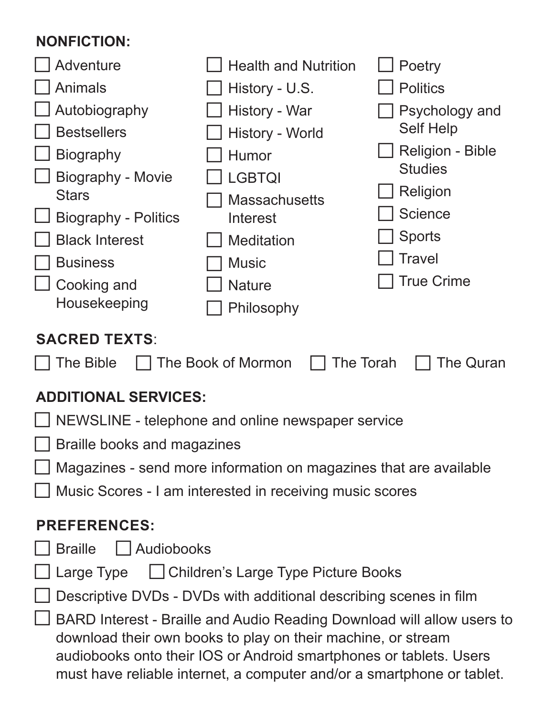### **NONFICTION:**

| NUNFIU HUN.                                                                       |                                                                          |                         |  |
|-----------------------------------------------------------------------------------|--------------------------------------------------------------------------|-------------------------|--|
| <b>Adventure</b>                                                                  | <b>Health and Nutrition</b>                                              | Poetry                  |  |
| <b>Animals</b>                                                                    | History - U.S.                                                           | <b>Politics</b>         |  |
| Autobiography                                                                     | History - War                                                            | Psychology and          |  |
| <b>Bestsellers</b>                                                                | History - World                                                          | <b>Self Help</b>        |  |
| <b>Biography</b>                                                                  | <b>Humor</b>                                                             | <b>Religion - Bible</b> |  |
| <b>Biography - Movie</b>                                                          | <b>LGBTQI</b>                                                            | <b>Studies</b>          |  |
| <b>Stars</b>                                                                      | <b>Massachusetts</b>                                                     | Religion                |  |
| <b>Biography - Politics</b>                                                       | Interest                                                                 | <b>Science</b>          |  |
| <b>Black Interest</b>                                                             | <b>Meditation</b>                                                        | <b>Sports</b>           |  |
| <b>Business</b>                                                                   | <b>Music</b>                                                             | <b>Travel</b>           |  |
| Cooking and                                                                       | <b>Nature</b>                                                            | True Crime              |  |
| Housekeeping                                                                      | Philosophy                                                               |                         |  |
| <b>SACRED TEXTS:</b><br>The Book of Mormon<br>The Torah<br>The Bible<br>The Quran |                                                                          |                         |  |
| <b>ADDITIONAL SERVICES:</b>                                                       |                                                                          |                         |  |
| NEWSLINE - telephone and online newspaper service                                 |                                                                          |                         |  |
| <b>Braille books and magazines</b>                                                |                                                                          |                         |  |
|                                                                                   | $\Box$ Magazines - send more information on magazines that are available |                         |  |
|                                                                                   | □ Music Scores - I am interested in receiving music scores               |                         |  |
|                                                                                   |                                                                          |                         |  |
| <b>PREFERENCES:</b>                                                               |                                                                          |                         |  |
| <b>Braille</b><br>  Audiobooks                                                    |                                                                          |                         |  |
| Large Type □ Children's Large Type Picture Books                                  |                                                                          |                         |  |
| Descriptive DVDs - DVDs with additional describing scenes in film                 |                                                                          |                         |  |
| BARD Interest - Braille and Audio Reading Download will allow users to            |                                                                          |                         |  |

 download their own books to play on their machine, or stream audiobooks onto their IOS or Android smartphones or tablets. Users must have reliable internet, a computer and/or a smartphone or tablet.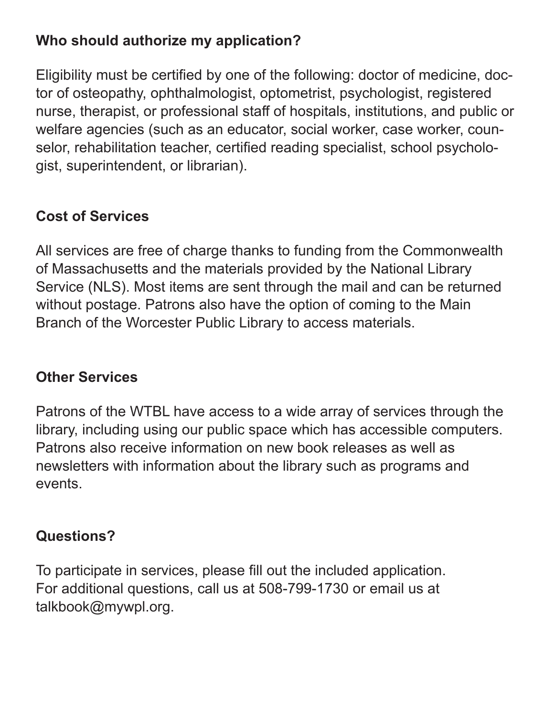### **Who should authorize my application?**

Eligibility must be certified by one of the following: doctor of medicine, doctor of osteopathy, ophthalmologist, optometrist, psychologist, registered nurse, therapist, or professional staff of hospitals, institutions, and public or welfare agencies (such as an educator, social worker, case worker, counselor, rehabilitation teacher, certified reading specialist, school psychologist, superintendent, or librarian).

### **Cost of Services**

All services are free of charge thanks to funding from the Commonwealth of Massachusetts and the materials provided by the National Library Service (NLS). Most items are sent through the mail and can be returned without postage. Patrons also have the option of coming to the Main Branch of the Worcester Public Library to access materials.

### **Other Services**

Patrons of the WTBL have access to a wide array of services through the library, including using our public space which has accessible computers. Patrons also receive information on new book releases as well as newsletters with information about the library such as programs and events.

### **Questions?**

To participate in services, please fill out the included application. For additional questions, call us at 508-799-1730 or email us at talkbook@mywpl.org.